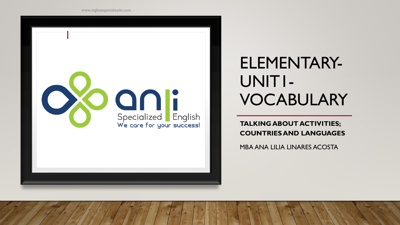

# ELEMENTARY-UNIT1- VOCABULARY

**TALKING ABOUT ACTIVITIES; COUNTRIES AND LANGUAGES**

MBA ANA LILIA LINARES ACOSTA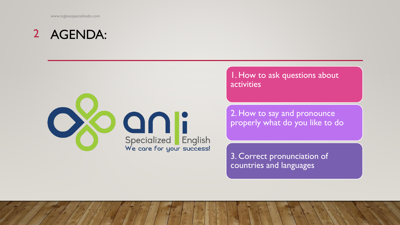### AGENDA: 2



1. How to ask questions about activities

2. How to say and pronounce properly what do you like to do

3. Correct pronunciation of countries and languages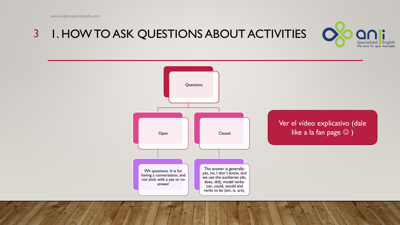### 1. HOW TO ASK QUESTIONS ABOUT ACTIVITIES 3



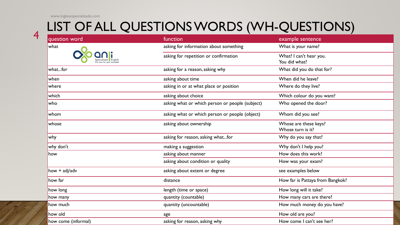4

### LIST OF ALL QUESTIONS WORDS (WH-QUESTIONS)

| question word       | function                                        | example sentence                           |  |
|---------------------|-------------------------------------------------|--------------------------------------------|--|
| what                | asking for information about something          | What is your name?                         |  |
|                     | asking for repetition or confirmation           | What? I can't hear you.<br>You did what?   |  |
| whatfor             | asking for a reason, asking why                 | What did you do that for?                  |  |
| when                | asking about time                               | When did he leave?                         |  |
| where               | asking in or at what place or position          | Where do they live?                        |  |
| which               | asking about choice                             | Which colour do you want?                  |  |
| who                 | asking what or which person or people (subject) | Who opened the door?                       |  |
| whom                | asking what or which person or people (object)  | Whom did you see?                          |  |
| whose               | asking about ownership                          | Whose are these keys?<br>Whose turn is it? |  |
| why                 | asking for reason, asking whatfor               | Why do you say that?                       |  |
| why don't           | making a suggestion                             | Why don't I help you?                      |  |
| how                 | asking about manner                             | How does this work?                        |  |
|                     | asking about condition or quality               | How was your exam?                         |  |
| how $+$ adj/adv     | asking about extent or degree                   | see examples below                         |  |
| how far             | distance                                        | How far is Pattaya from Bangkok?           |  |
| how long            | length (time or space)                          | How long will it take?                     |  |
| how many            | quantity (countable)                            | How many cars are there?                   |  |
| how much            | quantity (uncountable)                          | How much money do you have?                |  |
| how old             | age                                             | How old are you?                           |  |
| how come (informal) | asking for reason, asking why                   | How come I can't see her?                  |  |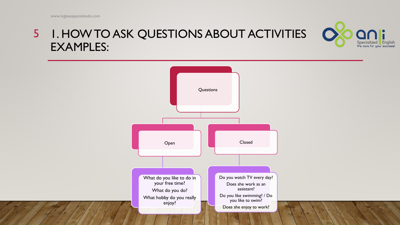### 5 I. HOW TO ASK QUESTIONS ABOUT ACTIVITIES EXAMPLES:



Specialized English<br>We care for your success!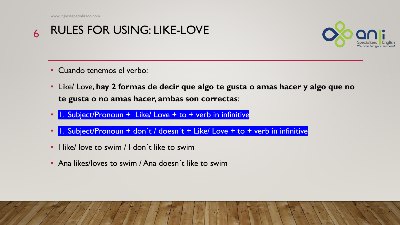#### RULES FOR USING: LIKE-LOVE 6



- Cuando tenemos el verbo:
- Like/ Love, **hay 2 formas de decir que algo te gusta o amas hacer y algo que no te gusta o no amas hacer, ambas son correctas**:
- 1. Subject/Pronoun + Like/ Love + to + verb in infinitive
- 1. Subject/Pronoun + don't / doesn't + Like/ Love + to + verb in infinitive
- I like/ love to swim / I don´t like to swim
- Ana likes/loves to swim / Ana doesn't like to swim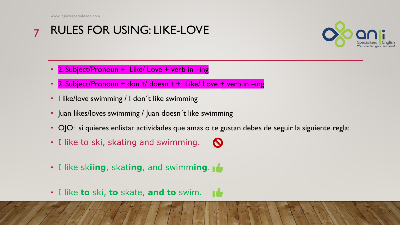#### RULES FOR USING: LIKE-LOVE 7



- 2. Subject/Pronoun + Like/ Love + verb in -ing
- 2. Subject/Pronoun + don't/ doesn't + Like/ Love + verb in -ing
- I like/love swimming / I don't like swimming
- Juan likes/loves swimming / Juan doesn't like swimming
- OJO: si quieres enlistar actividades que amas o te gustan debes de seguir la siguiente regla:
- I like to ski, skating and swimming.  $\mathbf \Omega$
- I like sk**iing**, skat**ing**, and swimm**ing**.
- I like **to** ski, **to** skate, **and to** swim.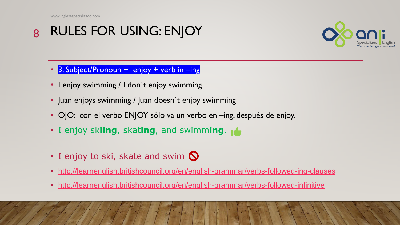#### RULES FOR USING: ENJOY 8



- 3. Subject/Pronoun + enjoy + verb in -ing
- I enjoy swimming / I don't enjoy swimming
- Juan enjoys swimming / Juan doesn't enjoy swimming
- OJO: con el verbo ENJOY sólo va un verbo en –ing, después de enjoy.
- I enjoy sk**iing**, skat**ing**, and swimm**ing**.
- $\cdot$  I enjoy to ski, skate and swim  $\bigcirc$
- <http://learnenglish.britishcouncil.org/en/english-grammar/verbs-followed-ing-clauses>
- <http://learnenglish.britishcouncil.org/en/english-grammar/verbs-followed-infinitive>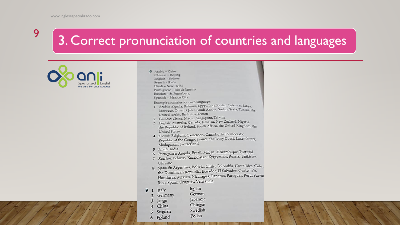## 3. Correct pronunciation of countries and languages



6 Arabic - Cairo Chinese - Beijing English - Sydney French - Paris Hindi - New Delhi Portuguese - Rio de Janeiro Russian - St Petersburg Spanish - Mexico City

Example countries for each language:

- 1 Arabic: Algeria, Bahrain, Egypt, Iraq, Jordan, Lebanon, Libya, Morocco, Oman, Qatar, Saudi Arabia, Sudan, Syria, Tunisia, the United Arabic Emirates, Yemen
- 2 Chinese: China, Macau, Singapore, Taiwan
- 3 English: Australia, Canada, Jamaica, New Zealand, Nigeria, the Republic of Ireland, South Africa, the United Kingdom, the **United States**
- 4 French: Belgium, Cameroon, Canada, the Democratic Republic of the Congo, France, the Ivory Coast, Luxembourg, Madagascar, Switzerland
- 5 Hindi: India
- 5 Hindi: India<br>6 Portuguese: Angola, Brazil, Macau, Mozambique, Portugal
- 6 Portuguese: Angola, Diam, Praem, Ayrgyzstan, Russia, Tajikistan, Ukraine
- 8 Spanish: Argentina, Bolivia, Chile, Colombia, Costa Rica, Cuba, the Dominican Republic, Ecuador, El Salvador, Guatemala, Honduras, Mexico, Nicaragua, Panama, Paraguay, Peru, Puerto Rico, Spain, Uruguay, Venezuela
- Italian 9 1 Italy
- German 2 Germany
- Japangse Japan  $\overline{\mathbf{3}}$
- Chingse 4 China
- Swedish 5 Sweden
	- Polish
- 6 Poland